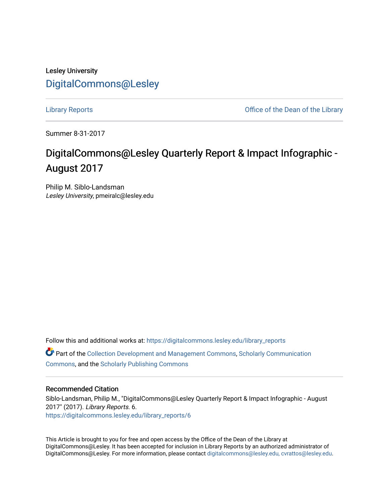## Lesley University [DigitalCommons@Lesley](https://digitalcommons.lesley.edu/)

[Library Reports](https://digitalcommons.lesley.edu/library_reports) **Contract Contract Contract Contract Contract Contract Contract Contract Contract Contract Contract Contract Contract Contract Contract Contract Contract Contract Contract Contract Contract Contract Contrac** 

Summer 8-31-2017

# DigitalCommons@Lesley Quarterly Report & Impact Infographic - August 2017

Philip M. Siblo-Landsman Lesley University, pmeiralc@lesley.edu

Follow this and additional works at: [https://digitalcommons.lesley.edu/library\\_reports](https://digitalcommons.lesley.edu/library_reports?utm_source=digitalcommons.lesley.edu%2Flibrary_reports%2F6&utm_medium=PDF&utm_campaign=PDFCoverPages)  Part of the [Collection Development and Management Commons,](http://network.bepress.com/hgg/discipline/1271?utm_source=digitalcommons.lesley.edu%2Flibrary_reports%2F6&utm_medium=PDF&utm_campaign=PDFCoverPages) [Scholarly Communication](http://network.bepress.com/hgg/discipline/1272?utm_source=digitalcommons.lesley.edu%2Flibrary_reports%2F6&utm_medium=PDF&utm_campaign=PDFCoverPages) [Commons](http://network.bepress.com/hgg/discipline/1272?utm_source=digitalcommons.lesley.edu%2Flibrary_reports%2F6&utm_medium=PDF&utm_campaign=PDFCoverPages), and the [Scholarly Publishing Commons](http://network.bepress.com/hgg/discipline/1273?utm_source=digitalcommons.lesley.edu%2Flibrary_reports%2F6&utm_medium=PDF&utm_campaign=PDFCoverPages) 

#### Recommended Citation

Siblo-Landsman, Philip M., "DigitalCommons@Lesley Quarterly Report & Impact Infographic - August 2017" (2017). Library Reports. 6. [https://digitalcommons.lesley.edu/library\\_reports/6](https://digitalcommons.lesley.edu/library_reports/6?utm_source=digitalcommons.lesley.edu%2Flibrary_reports%2F6&utm_medium=PDF&utm_campaign=PDFCoverPages) 

This Article is brought to you for free and open access by the Office of the Dean of the Library at DigitalCommons@Lesley. It has been accepted for inclusion in Library Reports by an authorized administrator of DigitalCommons@Lesley. For more information, please contact [digitalcommons@lesley.edu, cvrattos@lesley.edu.](mailto:digitalcommons@lesley.edu,%20cvrattos@lesley.edu)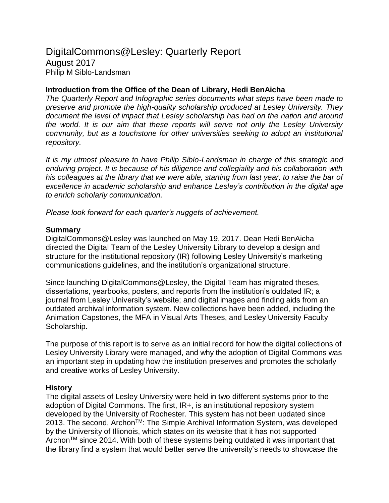### DigitalCommons@Lesley: Quarterly Report August 2017 Philip M Siblo-Landsman

#### **Introduction from the Office of the Dean of Library, Hedi BenAicha**

*The Quarterly Report and Infographic series documents what steps have been made to preserve and promote the high-quality scholarship produced at Lesley University. They document the level of impact that Lesley scholarship has had on the nation and around the world. It is our aim that these reports will serve not only the Lesley University community, but as a touchstone for other universities seeking to adopt an institutional repository.* 

*It is my utmost pleasure to have Philip Siblo-Landsman in charge of this strategic and enduring project. It is because of his diligence and collegiality and his collaboration with his colleagues at the library that we were able, starting from last year, to raise the bar of excellence in academic scholarship and enhance Lesley's contribution in the digital age to enrich scholarly communication.* 

*Please look forward for each quarter's nuggets of achievement.*

#### **Summary**

DigitalCommons@Lesley was launched on May 19, 2017. Dean Hedi BenAicha directed the Digital Team of the Lesley University Library to develop a design and structure for the institutional repository (IR) following Lesley University's marketing communications guidelines, and the institution's organizational structure.

Since launching DigitalCommons@Lesley, the Digital Team has migrated theses, dissertations, yearbooks, posters, and reports from the institution's outdated IR; a journal from Lesley University's website; and digital images and finding aids from an outdated archival information system. New collections have been added, including the Animation Capstones, the MFA in Visual Arts Theses, and Lesley University Faculty Scholarship.

The purpose of this report is to serve as an initial record for how the digital collections of Lesley University Library were managed, and why the adoption of Digital Commons was an important step in updating how the institution preserves and promotes the scholarly and creative works of Lesley University.

#### **History**

The digital assets of Lesley University were held in two different systems prior to the adoption of Digital Commons. The first, IR+, is an institutional repository system developed by the University of Rochester. This system has not been updated since 2013. The second, Archon<sup>™</sup>: The Simple Archival Information System, was developed by the University of Illionois, which states on its website that it has not supported Archon<sup>TM</sup> since 2014. With both of these systems being outdated it was important that the library find a system that would better serve the university's needs to showcase the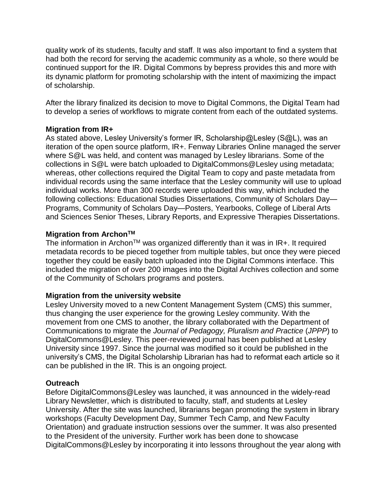quality work of its students, faculty and staff. It was also important to find a system that had both the record for serving the academic community as a whole, so there would be continued support for the IR. Digital Commons by bepress provides this and more with its dynamic platform for promoting scholarship with the intent of maximizing the impact of scholarship.

After the library finalized its decision to move to Digital Commons, the Digital Team had to develop a series of workflows to migrate content from each of the outdated systems.

#### **Migration from IR+**

As stated above, Lesley University's former IR, Scholarship@Lesley (S@L), was an iteration of the open source platform, IR+. Fenway Libraries Online managed the server where S@L was held, and content was managed by Lesley librarians. Some of the collections in S@L were batch uploaded to DigitalCommons@Lesley using metadata; whereas, other collections required the Digital Team to copy and paste metadata from individual records using the same interface that the Lesley community will use to upload individual works. More than 300 records were uploaded this way, which included the following collections: Educational Studies Dissertations, Community of Scholars Day— Programs, Community of Scholars Day—Posters, Yearbooks, College of Liberal Arts and Sciences Senior Theses, Library Reports, and Expressive Therapies Dissertations.

#### **Migration from ArchonTM**

The information in Archon™ was organized differently than it was in IR+. It required metadata records to be pieced together from multiple tables, but once they were pieced together they could be easily batch uploaded into the Digital Commons interface. This included the migration of over 200 images into the Digital Archives collection and some of the Community of Scholars programs and posters.

#### **Migration from the university website**

Lesley University moved to a new Content Management System (CMS) this summer, thus changing the user experience for the growing Lesley community. With the movement from one CMS to another, the library collaborated with the Department of Communications to migrate the *Journal of Pedagogy, Pluralism and Practice* (*JPPP*) to DigitalCommons@Lesley. This peer-reviewed journal has been published at Lesley University since 1997. Since the journal was modified so it could be published in the university's CMS, the Digital Scholarship Librarian has had to reformat each article so it can be published in the IR. This is an ongoing project.

#### **Outreach**

Before DigitalCommons@Lesley was launched, it was announced in the widely-read Library Newsletter, which is distributed to faculty, staff, and students at Lesley University. After the site was launched, librarians began promoting the system in library workshops (Faculty Development Day, Summer Tech Camp, and New Faculty Orientation) and graduate instruction sessions over the summer. It was also presented to the President of the university. Further work has been done to showcase DigitalCommons@Lesley by incorporating it into lessons throughout the year along with